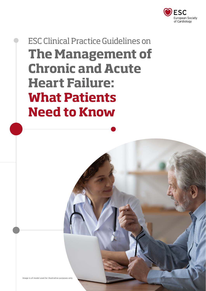

# ESC Clinical Practice Guidelines on **The Management of Chronic and Acute Heart Failure: What Patients Need to Know**

Image is of model used for illustrative purposes only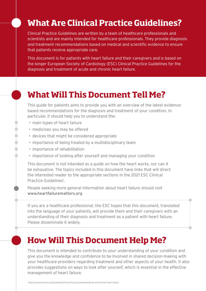# **What Are Clinical Practice Guidelines?**

Clinical Practice Guidelines are written by a team of healthcare professionals and scientists and are mainly intended for healthcare professionals. They provide diagnosis and treatment recommendations based on medical and scientific evidence to ensure that patients receive appropriate care.

This document is for patients with heart failure and their caregivers and is based on the longer European Society of Cardiology (ESC) Clinical Practice Guidelines for the diagnosis and treatment of acute and chronic heart failure.

### **What Will This Document Tell Me?**

This guide for patients aims to provide you with an overview of the latest evidencebased recommendations for the diagnosis and treatment of your condition. In particular, it should help you to understand the:

- main types of heart failure
- medicines you may be offered
- devices that might be considered appropriate
- importance of being treated by a multidisciplinary team
- importance of rehabilitation
- importance of looking after yourself and managing your condition

This document is not intended as a guide on how the heart works, nor can it be exhaustive. The topics included in this document have links that will direct the interested reader to the appropriate sections in the 2021 ESC Clinical Practice Guidelines<sup>1</sup>.

People seeking more general information about heart failure should visit [www.heartfailurematters.org](https://www.heartfailurematters.org/)

If you are a healthcare professional, the ESC hopes that this document, translated into the language of your patients, will provide them and their caregivers with an understanding of their diagnosis and treatment as a patient with heart failure. Please disseminate it widely.

# **How Will This Document Help Me?**

This document is intended to contribute to your understanding of your condition and give you the knowledge and confidence to be involved in shared decision-making with your healthcare providers regarding treatment and other aspects of your health. It also provides suggestions on ways to look after yourself, which is essential in the effective management of heart failure.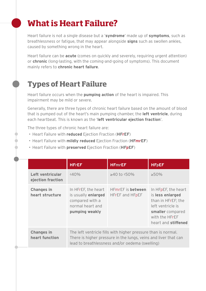# **What is Heart Failure?**

Heart failure is not a single disease but a '**syndrome**' made up of **symptoms**, such as breathlessness or fatigue, that may appear alongside **signs** such as swollen ankles, caused by something wrong in the heart.

Heart failure can be **acute** (comes on quickly and severely, requiring urgent attention) or **chronic** (long-lasting, with the coming-and-going of symptoms). This document mainly refers to **chronic heart failure**.

#### **Types of Heart Failure**

Heart failure occurs when the **pumping action** of the heart is impaired. This impairment may be mild or severe.

Generally, there are three types of chronic heart failure based on the amount of blood that is pumped out of the heart's main pumping chamber, the **left ventricle**, during each heartbeat. This is known as the '**left ventricular ejection fraction**'.

The three types of chronic heart failure are:

- Heart Failure with **reduced** Ejection Fraction (**HFrEF**)
- Heart Failure with **mildly reduced** Ejection Fraction (**HFmrEF**)
- Heart Failure with **preserved** Ejection Fraction (**HFpEF**)

|  |                                       | <b>HFrEF</b>                                                                                                                                                                        | <b>HFmrEF</b>                                      | <b>HFpEF</b>                                                                                                                                    |
|--|---------------------------------------|-------------------------------------------------------------------------------------------------------------------------------------------------------------------------------------|----------------------------------------------------|-------------------------------------------------------------------------------------------------------------------------------------------------|
|  | Left ventricular<br>ejection fraction | $<$ 40%                                                                                                                                                                             | $≥40$ to <50%                                      | $>50\%$                                                                                                                                         |
|  | <b>Changes in</b><br>heart structure  | In HFrEF, the heart<br>is usually enlarged<br>compared with a<br>normal heart and<br>pumping weakly                                                                                 | <b>HFmrEF</b> is <b>between</b><br>HFrEF and HFpEF | In HFpEF, the heart<br>is less enlarged<br>than in HFrEF; the<br>left ventricle is<br>smaller compared<br>with the HFrEF<br>heart and stiffened |
|  | <b>Changes in</b><br>heart function   | The left ventricle fills with higher pressure than is normal.<br>There is higher pressure in the lungs, veins and liver that can<br>lead to breathlessness and/or oedema (swelling) |                                                    |                                                                                                                                                 |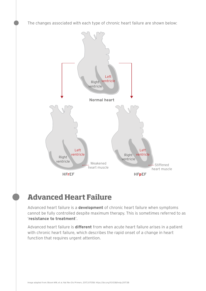The changes associated with each type of chronic heart failure are shown below:



#### **Advanced Heart Failure**

Advanced heart failure is a **development** of chronic heart failure when symptoms cannot be fully controlled despite maximum therapy. This is sometimes referred to as '**resistance to treatment**'.

Advanced heart failure is **different** from when acute heart failure arises in a patient with chronic heart failure, which describes the rapid onset of a change in heart function that requires urgent attention.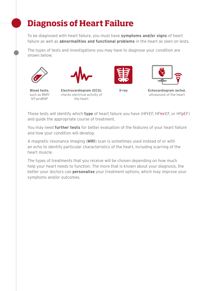# **Diagnosis of Heart Failure**

To be diagnosed with heart failure, you must have **symptoms and/or signs** of heart failure as well as **abnormalities and functional problems** in the heart as seen on tests.

The types of tests and investigations you may have to diagnose your condition are shown below:







**Blood tests**, such as BNP/ NT-proBNP

**Electrocardiogram (ECG)**, **X-ray** checks electrical activity of the heart



**Echocardiogram (echo)**, ultrasound of the heart

These tests will identify which **type** of heart failure you have (HFrEF, HFmrEF, or HFpEF) and guide the appropriate course of treatment.

You may need **further tests** for better evaluation of the features of your heart failure and how your condition will develop.

A magnetic resonance imaging (**MRI**) scan is sometimes used instead of or with an echo to identify particular characteristics of the heart, including scarring of the heart muscle.

The types of treatments that you receive will be chosen depending on how much help your heart needs to function. The more that is known about your diagnosis, the better your doctors can **personalise** your treatment options, which may improve your symptoms and/or outcomes.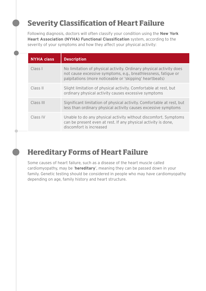### **Severity Classification of Heart Failure**

Following diagnosis, doctors will often classify your condition using the **New York Heart Association (NYHA) Functional Classification** system, according to the severity of your symptoms and how they affect your physical activity:

| <b>NYHA class</b> | <b>Description</b>                                                                                                                                                                               |
|-------------------|--------------------------------------------------------------------------------------------------------------------------------------------------------------------------------------------------|
| Class I           | No limitation of physical activity. Ordinary physical activity does<br>not cause excessive symptoms, e.g., breathlessness, fatique or<br>palpitations (more noticeable or 'skipping' heartbeats) |
| Class II          | Slight limitation of physical activity. Comfortable at rest, but<br>ordinary physical activity causes excessive symptoms                                                                         |
| Class III         | Significant limitation of physical activity. Comfortable at rest, but<br>less than ordinary physical activity causes excessive symptoms                                                          |
| Class IV          | Unable to do any physical activity without discomfort. Symptoms<br>can be present even at rest. If any physical activity is done,<br>discomfort is increased                                     |

### **Hereditary Forms of Heart Failure**

Some causes of heart failure, such as a disease of the heart muscle called cardiomyopathy, may be '**hereditary**', meaning they can be passed down in your family. Genetic testing should be considered in people who may have cardiomyopathy depending on age, family history and heart structure.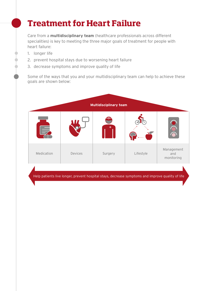# **Treatment for Heart Failure**

Care from a **multidisciplinary team** (healthcare professionals across different specialities) is key to meeting the three major goals of treatment for people with heart failure:

- 1. longer life
- 2. prevent hospital stays due to worsening heart failure
- 3. decrease symptoms and improve quality of life

Some of the ways that you and your multidisciplinary team can help to achieve these goals are shown below:



Help patients live longer, prevent hospital stays, decrease symptoms and improve quality of life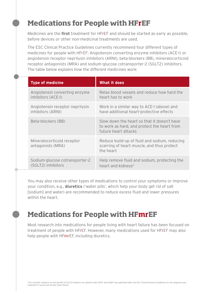#### **Medications for People with HFrEF**

Medicines are the **first** treatment for HFrEF and should be started as early as possible, before devices or other non-medicinal treatments are used.

The ESC Clinical Practice Guidelines currently recommend four different types of medicines for people with HFrEF: Angiotensin converting enzyme inhibitors (ACE-I) or angiotensin receptor neprilysin inhibitors (ARNI), beta-blockers (BB), mineralocorticoid receptor antagonists (MRA) and sodium-glucose cotransporter-2 (SGLT2) inhibitors. The table below explains how the different medicines work:

|  | <b>Type of medicine</b>                              | What it does                                                                                                       |  |
|--|------------------------------------------------------|--------------------------------------------------------------------------------------------------------------------|--|
|  | Angiotensin converting enzyme<br>inhibitors (ACE-I)  | Relax blood vessels and reduce how hard the<br>heart has to work                                                   |  |
|  | Angiotensin receptor neprilysin<br>inhibitors (ARNI) | Work in a similar way to ACE-I (above) and<br>have additional heart-protective effects                             |  |
|  | Beta-blockers (BB)                                   | Slow down the heart so that it doesn't have<br>to work as hard, and protect the heart from<br>future heart attacks |  |
|  | Mineralocorticoid receptor<br>antagonists (MRA)      | Reduce build-up of fluid and sodium, reducing<br>scarring of heart muscle, and thus protect<br>the heart           |  |
|  | Sodium-glucose cotransporter-2<br>(SGLT2) inhibitors | Help remove fluid and sodium, protecting the<br>heart and kidneys <sup>2</sup>                                     |  |

You may also receive other types of medications to control your symptoms or improve your condition, e.g., **diuretics** ('water pills', which help your body get rid of salt [sodium] and water) are recommended to reduce excess fluid and lower pressures within the heart.

#### **Medications for People with HFmrEF**

Most research into medications for people living with heart failure has been focused on treatment of people with HFrEF. However, many medications used for HFrEF may also help people with HFmrEF, including diuretics.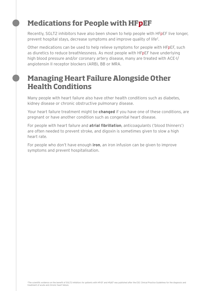#### **Medications for People with HFpEF**

Recently, SGLT2 inhibitors have also been shown to help people with HFpEF live longer, prevent hospital stays, decrease symptoms and improve quality of life<sup>2</sup>.

Other medications can be used to help relieve symptoms for people with HFpEF, such as diuretics to reduce breathlessness. As most people with HFpEF have underlying high blood pressure and/or coronary artery disease, many are treated with ACE-I/ angiotensin II receptor blockers (ARB), BB or MRA.

#### **Managing Heart Failure Alongside Other Health Conditions**

Many people with heart failure also have other health conditions such as diabetes, kidney disease or chronic obstructive pulmonary disease.

Your heart failure treatment might be **changed** if you have one of these conditions, are pregnant or have another condition such as congenital heart disease.

For people with heart failure and **atrial fibrillation**, anticoagulants ('blood thinners') are often needed to prevent stroke, and digoxin is sometimes given to slow a high heart rate.

For people who don't have enough **iron**, an iron infusion can be given to improve symptoms and prevent hospitalisation.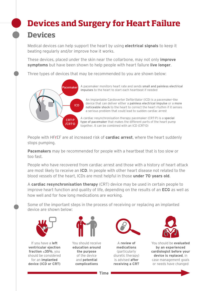# **Devices and Surgery for Heart Failure Devices**

Medical devices can help support the heart by using **electrical signals** to keep it beating regularly and/or improve how it works.

These devices, placed under the skin near the collarbone, may not only **improve symptoms** but have been shown to help people with heart failure **live longer**.

Three types of devices that may be recommended to you are shown below:



A pacemaker monitors heart rate and sends small and painless electrical impulses to the heart to start each heartbeat if needed

An Implantable Cardioverter Defibrillator (ICD) is a pacemaker-like device that can deliver either a painless electrical impulse or a more noticeable shock to the heart to correct the heart rhythm if it senses a serious problem that could lead to sudden cardiac arrest

A cardiac resynchronisation therapy pacemaker (CRT-P) is a special type of pacemaker that makes the different parts of the heart pump together. It can be combined with an ICD (CRT-D)

People with HFrEF are at increased risk of **cardiac arrest**, where the heart suddenly stops pumping.

**Pacemakers** may be recommended for people with a heartbeat that is too slow or too fast.

People who have recovered from cardiac arrest and those with a history of heart attack Fourth more receive an **ICD**. In people with other heart disease not related to the are most likely to receive an **ICD**. In people with other heart disease not related to the blood vessels of the heart, ICDs are most helpful in those **under 70 years old**. An Implantable Cardioverter Debrillator (ICD) is a pacemaker-like

A **cardiac resynchronisation therapy** (CRT) device may be used in certain people to improve heart function and quality of life, depending on the results of an **ECG** as well as how well and for how long medications are working. or me, aepenanty on the results or an **Eeo** as wen c

CRT-P Some of the important steps in the process of receiving or replacing an implanted device are shown below:



If you have a **left ventricular ejection fraction** ≤**35%**, you should be considered for an **implanted device (ICD or CRT)**



You should receive **education around the purpose** of the device and **potential complications**



A **review of medications** (particularly diuretic therapy) is advised **after receiving a CRT**



You should be **evaluated by an experienced cardiologist before your device is replaced**, in case management goals or needs have changed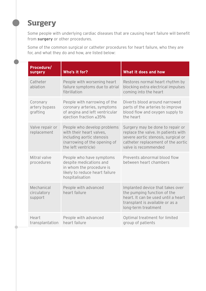#### **Surgery**

Some people with underlying cardiac diseases that are causing heart failure will benefit from **surgery** or other procedures.

Some of the common surgical or catheter procedures for heart failure, who they are for, and what they do and how, are listed below:

| Procedure/<br><b>surgery</b>          | Who's it for?                                                                                                                               | What it does and how                                                                                                                                                         |
|---------------------------------------|---------------------------------------------------------------------------------------------------------------------------------------------|------------------------------------------------------------------------------------------------------------------------------------------------------------------------------|
| Catheter<br>ablation                  | People with worsening heart<br>failure symptoms due to atrial<br>fibrillation                                                               | Restores normal heart rhythm by<br>blocking extra electrical impulses<br>coming into the heart                                                                               |
| Coronary<br>artery bypass<br>grafting | People with narrowing of the<br>coronary arteries, symptoms<br>of angina and left ventricular<br>ejection fraction ≤35%                     | Diverts blood around narrowed<br>parts of the arteries to improve<br>blood flow and oxygen supply to<br>the heart                                                            |
| Valve repair or<br>replacement        | People who develop problems<br>with their heart valves,<br>including aortic stenosis<br>(narrowing of the opening of<br>the left ventricle) | Surgery may be done to repair or<br>replace the valve. In patients with<br>severe aortic stenosis, surgical or<br>catheter replacement of the aortic<br>valve is recommended |
| Mitral valve<br>procedures            | People who have symptoms<br>despite medications and<br>in whom the procedure is<br>likely to reduce heart failure<br>hospitalisation        | Prevents abnormal blood flow<br>between heart chambers                                                                                                                       |
| Mechanical<br>circulatory<br>support  | People with advanced<br>heart failure                                                                                                       | Implanted device that takes over<br>the pumping function of the<br>heart. It can be used until a heart<br>transplant is available or as a<br>long-term treatment             |
| Heart<br>transplantation              | People with advanced<br>heart failure                                                                                                       | Optimal treatment for limited<br>group of patients                                                                                                                           |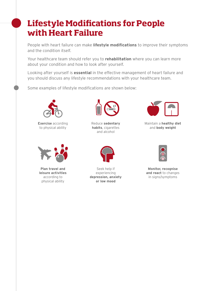# **Lifestyle Modifications for People with Heart Failure**

People with heart failure can make **lifestyle modifications** to improve their symptoms and the condition itself.

Your healthcare team should refer you to **rehabilitation** where you can learn more about your condition and how to look after yourself.

Looking after yourself is **essential** in the effective management of heart failure and you should discuss any lifestyle recommendations with your healthcare team.

Some examples of lifestyle modifications are shown below:



**Exercise** according to physical ability



**Plan travel and leisure activities** according to physical ability



Reduce **sedentary habits**, cigarettes and alcohol



Seek help if experiencing **depression, anxiety or low mood**



Maintain a **healthy diet**  and **body weight**



**Monitor, recognise and react** to changes in signs/symptoms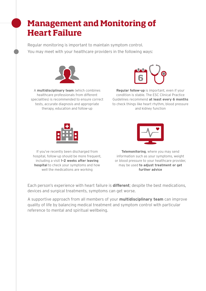# **Management and Monitoring of Heart Failure**

Regular monitoring is important to maintain symptom control. You may meet with your healthcare providers in the following ways:



A **multidisciplinary team** (which combines healthcare professionals from different specialities) is recommended to ensure correct tests, accurate diagnosis and appropriate therapy, education and follow-up



**Regular follow-up** is important, even if your condition is stable. The ESC Clinical Practice Guidelines recommend **at least every 6 months** to check things like heart rhythm, blood pressure and kidney function





If you've recently been discharged from hospital, follow-up should be more frequent. including a visit **1–2 weeks after leaving hospital** to check your symptoms and how well the medications are working

**Telemonitoring**, where you may send information such as your symptoms, weight or blood pressure to your healthcare provider, may be used **to adjust treatment or get further advice**

Each person's experience with heart failure is **different**; despite the best medications, devices and surgical treatments, symptoms can get worse.

A supportive approach from all members of your **multidisciplinary team** can improve quality of life by balancing medical treatment and symptom control with particular reference to mental and spiritual wellbeing.